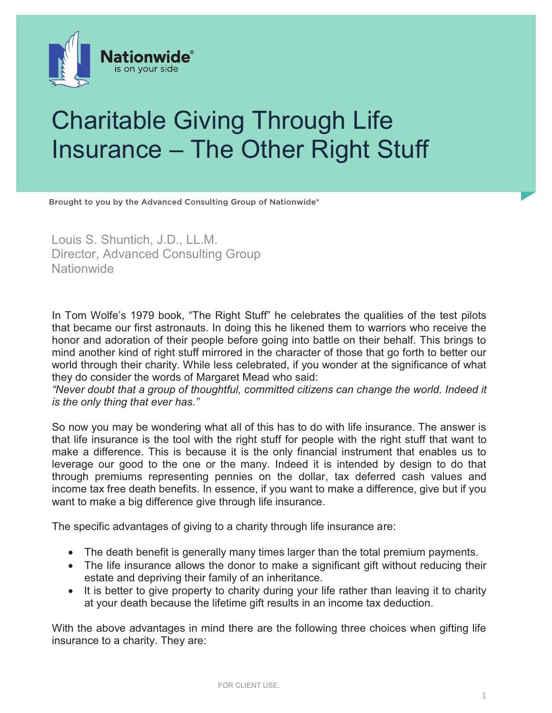

## Charitable Giving Through Life Insurance – The Other Right Stuff

Brought to you by the Advanced Consulting Group of Nationwide®

Louis S. Shuntich, J.D., LL.M. Director, Advanced Consulting Group **Nationwide** 

In Tom Wolfe's 1979 book, "The Right Stuff" he celebrates the qualities of the test pilots that became our first astronauts. In doing this he likened them to warriors who receive the honor and adoration of their people before going into battle on their behalf. This brings to mind another kind of right stuff mirrored in the character of those that go forth to better our world through their charity. While less celebrated, if you wonder at the significance of what they do consider the words of Margaret Mead who said:

*"Never doubt that a group of thoughtful, committed citizens can change the world. Indeed it is the only thing that ever has."*

So now you may be wondering what all of this has to do with life insurance. The answer is that life insurance is the tool with the right stuff for people with the right stuff that want to make a difference. This is because it is the only financial instrument that enables us to leverage our good to the one or the many. Indeed it is intended by design to do that through premiums representing pennies on the dollar, tax deferred cash values and income tax free death benefits. In essence, if you want to make a difference, give but if you want to make a big difference give through life insurance.

The specific advantages of giving to a charity through life insurance are:

- The death benefit is generally many times larger than the total premium payments.
- The life insurance allows the donor to make a significant gift without reducing their estate and depriving their family of an inheritance.
- It is better to give property to charity during your life rather than leaving it to charity at your death because the lifetime gift results in an income tax deduction.

With the above advantages in mind there are the following three choices when gifting life insurance to a charity. They are: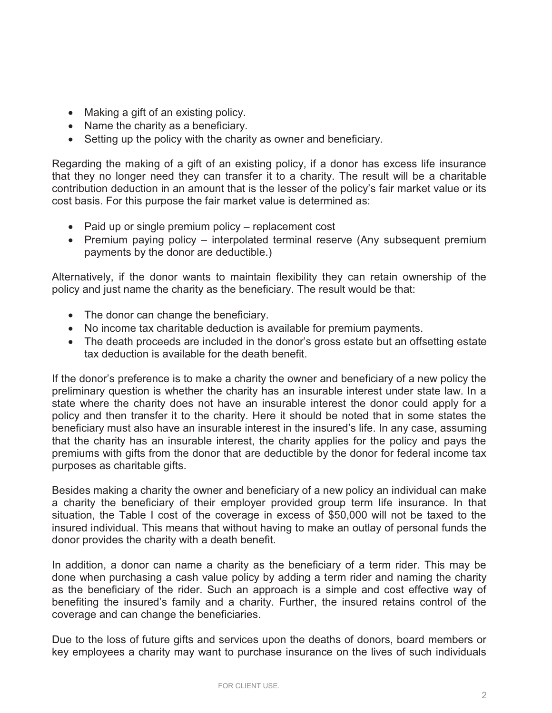- Making a gift of an existing policy.
- Name the charity as a beneficiary.
- Setting up the policy with the charity as owner and beneficiary.

Regarding the making of a gift of an existing policy, if a donor has excess life insurance that they no longer need they can transfer it to a charity. The result will be a charitable contribution deduction in an amount that is the lesser of the policy's fair market value or its cost basis. For this purpose the fair market value is determined as:

- Paid up or single premium policy replacement cost
- Premium paying policy interpolated terminal reserve (Any subsequent premium payments by the donor are deductible.)

Alternatively, if the donor wants to maintain flexibility they can retain ownership of the policy and just name the charity as the beneficiary. The result would be that:

- The donor can change the beneficiary.
- No income tax charitable deduction is available for premium payments.
- The death proceeds are included in the donor's gross estate but an offsetting estate tax deduction is available for the death benefit.

If the donor's preference is to make a charity the owner and beneficiary of a new policy the preliminary question is whether the charity has an insurable interest under state law. In a state where the charity does not have an insurable interest the donor could apply for a policy and then transfer it to the charity. Here it should be noted that in some states the beneficiary must also have an insurable interest in the insured's life. In any case, assuming that the charity has an insurable interest, the charity applies for the policy and pays the premiums with gifts from the donor that are deductible by the donor for federal income tax purposes as charitable gifts.

Besides making a charity the owner and beneficiary of a new policy an individual can make a charity the beneficiary of their employer provided group term life insurance. In that situation, the Table I cost of the coverage in excess of \$50,000 will not be taxed to the insured individual. This means that without having to make an outlay of personal funds the donor provides the charity with a death benefit.

In addition, a donor can name a charity as the beneficiary of a term rider. This may be done when purchasing a cash value policy by adding a term rider and naming the charity as the beneficiary of the rider. Such an approach is a simple and cost effective way of benefiting the insured's family and a charity. Further, the insured retains control of the coverage and can change the beneficiaries.

Due to the loss of future gifts and services upon the deaths of donors, board members or key employees a charity may want to purchase insurance on the lives of such individuals